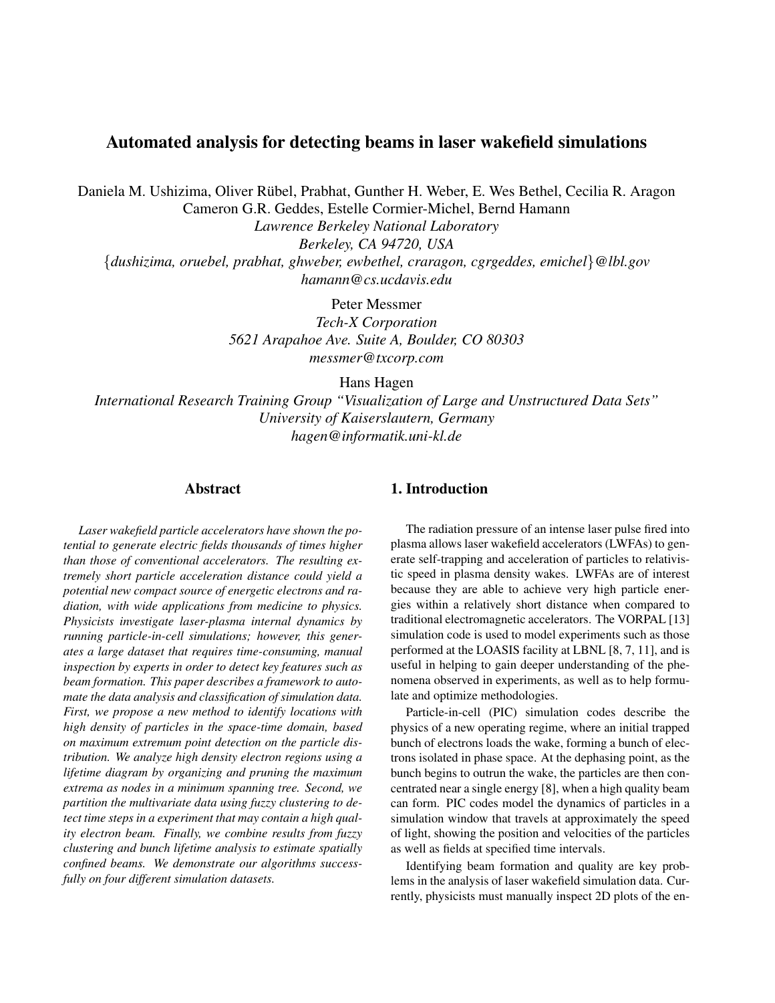# Automated analysis for detecting beams in laser wakefield simulations

Daniela M. Ushizima, Oliver Rubel, Prabhat, Gunther H. Weber, E. Wes Bethel, Cecilia R. Aragon ¨

Cameron G.R. Geddes, Estelle Cormier-Michel, Bernd Hamann

*Lawrence Berkeley National Laboratory*

*Berkeley, CA 94720, USA*

{*dushizima, oruebel, prabhat, ghweber, ewbethel, craragon, cgrgeddes, emichel*}*@lbl.gov hamann@cs.ucdavis.edu*

Peter Messmer

*Tech-X Corporation 5621 Arapahoe Ave. Suite A, Boulder, CO 80303 messmer@txcorp.com*

Hans Hagen

*International Research Training Group "Visualization of Large and Unstructured Data Sets" University of Kaiserslautern, Germany hagen@informatik.uni-kl.de*

# Abstract

*Laser wakefield particle accelerators have shown the potential to generate electric fields thousands of times higher than those of conventional accelerators. The resulting extremely short particle acceleration distance could yield a potential new compact source of energetic electrons and radiation, with wide applications from medicine to physics. Physicists investigate laser-plasma internal dynamics by running particle-in-cell simulations; however, this generates a large dataset that requires time-consuming, manual inspection by experts in order to detect key features such as beam formation. This paper describes a framework to automate the data analysis and classification of simulation data. First, we propose a new method to identify locations with high density of particles in the space-time domain, based on maximum extremum point detection on the particle distribution. We analyze high density electron regions using a lifetime diagram by organizing and pruning the maximum extrema as nodes in a minimum spanning tree. Second, we partition the multivariate data using fuzzy clustering to detect time steps in a experiment that may contain a high quality electron beam. Finally, we combine results from fuzzy clustering and bunch lifetime analysis to estimate spatially confined beams. We demonstrate our algorithms successfully on four different simulation datasets.*

# 1. Introduction

The radiation pressure of an intense laser pulse fired into plasma allows laser wakefield accelerators (LWFAs) to generate self-trapping and acceleration of particles to relativistic speed in plasma density wakes. LWFAs are of interest because they are able to achieve very high particle energies within a relatively short distance when compared to traditional electromagnetic accelerators. The VORPAL [13] simulation code is used to model experiments such as those performed at the LOASIS facility at LBNL [8, 7, 11], and is useful in helping to gain deeper understanding of the phenomena observed in experiments, as well as to help formulate and optimize methodologies.

Particle-in-cell (PIC) simulation codes describe the physics of a new operating regime, where an initial trapped bunch of electrons loads the wake, forming a bunch of electrons isolated in phase space. At the dephasing point, as the bunch begins to outrun the wake, the particles are then concentrated near a single energy [8], when a high quality beam can form. PIC codes model the dynamics of particles in a simulation window that travels at approximately the speed of light, showing the position and velocities of the particles as well as fields at specified time intervals.

Identifying beam formation and quality are key problems in the analysis of laser wakefield simulation data. Currently, physicists must manually inspect 2D plots of the en-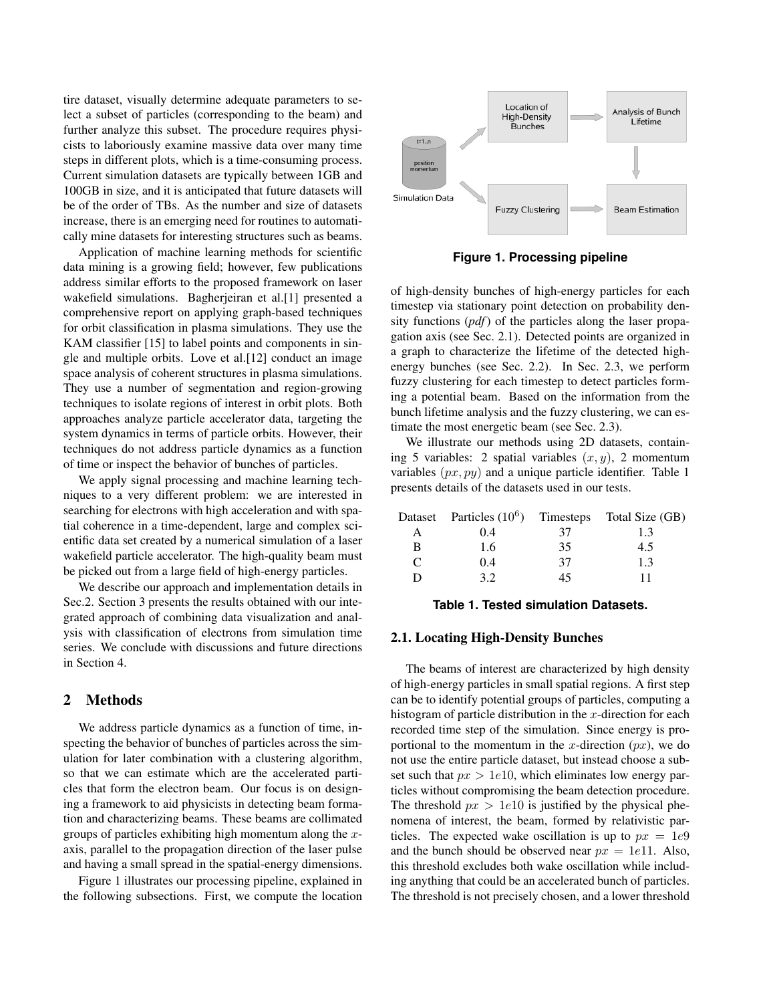tire dataset, visually determine adequate parameters to select a subset of particles (corresponding to the beam) and further analyze this subset. The procedure requires physicists to laboriously examine massive data over many time steps in different plots, which is a time-consuming process. Current simulation datasets are typically between 1GB and 100GB in size, and it is anticipated that future datasets will be of the order of TBs. As the number and size of datasets increase, there is an emerging need for routines to automatically mine datasets for interesting structures such as beams.

Application of machine learning methods for scientific data mining is a growing field; however, few publications address similar efforts to the proposed framework on laser wakefield simulations. Bagherjeiran et al.[1] presented a comprehensive report on applying graph-based techniques for orbit classification in plasma simulations. They use the KAM classifier [15] to label points and components in single and multiple orbits. Love et al.[12] conduct an image space analysis of coherent structures in plasma simulations. They use a number of segmentation and region-growing techniques to isolate regions of interest in orbit plots. Both approaches analyze particle accelerator data, targeting the system dynamics in terms of particle orbits. However, their techniques do not address particle dynamics as a function of time or inspect the behavior of bunches of particles.

We apply signal processing and machine learning techniques to a very different problem: we are interested in searching for electrons with high acceleration and with spatial coherence in a time-dependent, large and complex scientific data set created by a numerical simulation of a laser wakefield particle accelerator. The high-quality beam must be picked out from a large field of high-energy particles.

We describe our approach and implementation details in Sec.2. Section 3 presents the results obtained with our integrated approach of combining data visualization and analysis with classification of electrons from simulation time series. We conclude with discussions and future directions in Section 4.

## 2 Methods

We address particle dynamics as a function of time, inspecting the behavior of bunches of particles across the simulation for later combination with a clustering algorithm, so that we can estimate which are the accelerated particles that form the electron beam. Our focus is on designing a framework to aid physicists in detecting beam formation and characterizing beams. These beams are collimated groups of particles exhibiting high momentum along the  $x$ axis, parallel to the propagation direction of the laser pulse and having a small spread in the spatial-energy dimensions.

Figure 1 illustrates our processing pipeline, explained in the following subsections. First, we compute the location



**Figure 1. Processing pipeline**

of high-density bunches of high-energy particles for each timestep via stationary point detection on probability density functions (*pdf*) of the particles along the laser propagation axis (see Sec. 2.1). Detected points are organized in a graph to characterize the lifetime of the detected highenergy bunches (see Sec. 2.2). In Sec. 2.3, we perform fuzzy clustering for each timestep to detect particles forming a potential beam. Based on the information from the bunch lifetime analysis and the fuzzy clustering, we can estimate the most energetic beam (see Sec. 2.3).

We illustrate our methods using 2D datasets, containing 5 variables: 2 spatial variables  $(x, y)$ , 2 momentum variables  $(px, py)$  and a unique particle identifier. Table 1 presents details of the datasets used in our tests.

|   | Dataset Particles $(10^6)$ Timesteps Total Size (GB) |    |     |
|---|------------------------------------------------------|----|-----|
| А | 0.4                                                  | 37 | 1.3 |
| B | 1.6                                                  | 35 | 4.5 |
| C | 0.4                                                  | 37 | 1.3 |
| D | 32                                                   | 45 |     |

### **Table 1. Tested simulation Datasets.**

### 2.1. Locating High-Density Bunches

The beams of interest are characterized by high density of high-energy particles in small spatial regions. A first step can be to identify potential groups of particles, computing a histogram of particle distribution in the  $x$ -direction for each recorded time step of the simulation. Since energy is proportional to the momentum in the x-direction  $(px)$ , we do not use the entire particle dataset, but instead choose a subset such that  $px > 1e10$ , which eliminates low energy particles without compromising the beam detection procedure. The threshold  $px > 1e10$  is justified by the physical phenomena of interest, the beam, formed by relativistic particles. The expected wake oscillation is up to  $px = 1e9$ and the bunch should be observed near  $px = 1e11$ . Also, this threshold excludes both wake oscillation while including anything that could be an accelerated bunch of particles. The threshold is not precisely chosen, and a lower threshold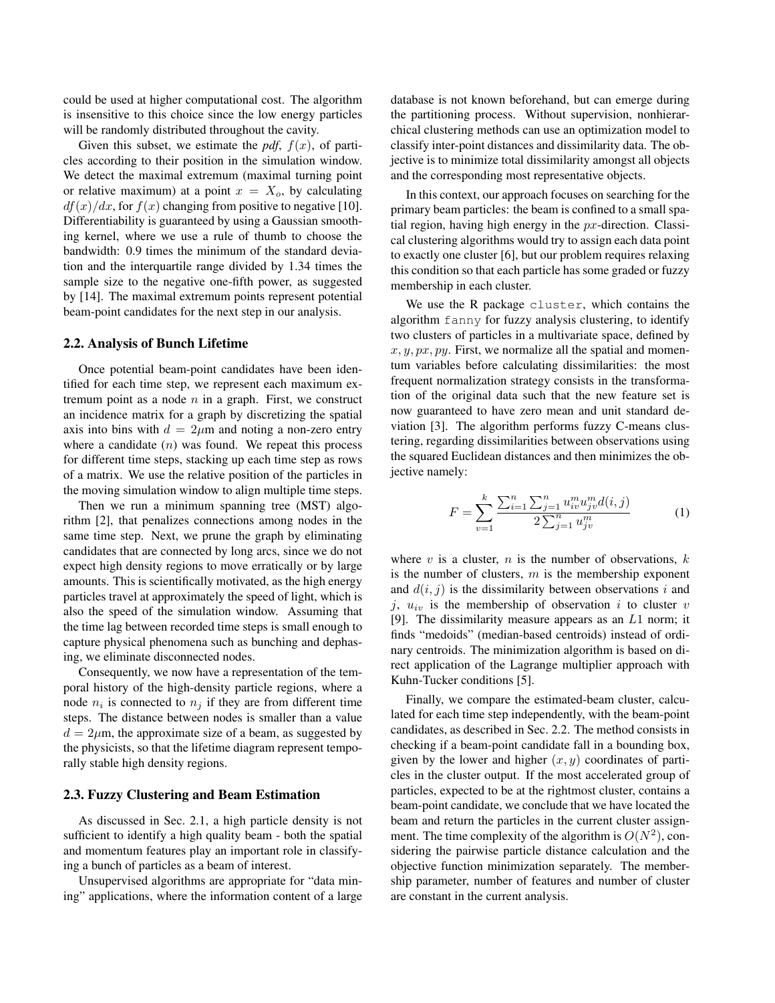could be used at higher computational cost. The algorithm is insensitive to this choice since the low energy particles will be randomly distributed throughout the cavity.

Given this subset, we estimate the *pdf*,  $f(x)$ , of particles according to their position in the simulation window. We detect the maximal extremum (maximal turning point or relative maximum) at a point  $x = X<sub>o</sub>$ , by calculating  $df(x)/dx$ , for  $f(x)$  changing from positive to negative [10]. Differentiability is guaranteed by using a Gaussian smoothing kernel, where we use a rule of thumb to choose the bandwidth: 0.9 times the minimum of the standard deviation and the interquartile range divided by 1.34 times the sample size to the negative one-fifth power, as suggested by [14]. The maximal extremum points represent potential beam-point candidates for the next step in our analysis.

#### 2.2. Analysis of Bunch Lifetime

Once potential beam-point candidates have been identified for each time step, we represent each maximum extremum point as a node  $n$  in a graph. First, we construct an incidence matrix for a graph by discretizing the spatial axis into bins with  $d = 2\mu m$  and noting a non-zero entry where a candidate  $(n)$  was found. We repeat this process for different time steps, stacking up each time step as rows of a matrix. We use the relative position of the particles in the moving simulation window to align multiple time steps.

Then we run a minimum spanning tree (MST) algorithm [2], that penalizes connections among nodes in the same time step. Next, we prune the graph by eliminating candidates that are connected by long arcs, since we do not expect high density regions to move erratically or by large amounts. This is scientifically motivated, as the high energy particles travel at approximately the speed of light, which is also the speed of the simulation window. Assuming that the time lag between recorded time steps is small enough to capture physical phenomena such as bunching and dephasing, we eliminate disconnected nodes.

Consequently, we now have a representation of the temporal history of the high-density particle regions, where a node  $n_i$  is connected to  $n_j$  if they are from different time steps. The distance between nodes is smaller than a value  $d = 2\mu$ m, the approximate size of a beam, as suggested by the physicists, so that the lifetime diagram represent temporally stable high density regions.

### 2.3. Fuzzy Clustering and Beam Estimation

As discussed in Sec. 2.1, a high particle density is not sufficient to identify a high quality beam - both the spatial and momentum features play an important role in classifying a bunch of particles as a beam of interest.

Unsupervised algorithms are appropriate for "data mining" applications, where the information content of a large database is not known beforehand, but can emerge during the partitioning process. Without supervision, nonhierarchical clustering methods can use an optimization model to classify inter-point distances and dissimilarity data. The objective is to minimize total dissimilarity amongst all objects and the corresponding most representative objects.

In this context, our approach focuses on searching for the primary beam particles: the beam is confined to a small spatial region, having high energy in the  $px$ -direction. Classical clustering algorithms would try to assign each data point to exactly one cluster [6], but our problem requires relaxing this condition so that each particle has some graded or fuzzy membership in each cluster.

We use the R package cluster, which contains the algorithm fanny for fuzzy analysis clustering, to identify two clusters of particles in a multivariate space, defined by  $x, y, px, py$ . First, we normalize all the spatial and momentum variables before calculating dissimilarities: the most frequent normalization strategy consists in the transformation of the original data such that the new feature set is now guaranteed to have zero mean and unit standard deviation [3]. The algorithm performs fuzzy C-means clustering, regarding dissimilarities between observations using the squared Euclidean distances and then minimizes the objective namely:

$$
F = \sum_{v=1}^{k} \frac{\sum_{i=1}^{n} \sum_{j=1}^{n} u_{iv}^{m} u_{jv}^{m} d(i, j)}{2 \sum_{j=1}^{n} u_{jv}^{m}}
$$
(1)

where v is a cluster,  $n$  is the number of observations,  $k$ is the number of clusters,  $m$  is the membership exponent and  $d(i, j)$  is the dissimilarity between observations i and j,  $u_{iv}$  is the membership of observation i to cluster v [9]. The dissimilarity measure appears as an  $L1$  norm; it finds "medoids" (median-based centroids) instead of ordinary centroids. The minimization algorithm is based on direct application of the Lagrange multiplier approach with Kuhn-Tucker conditions [5].

Finally, we compare the estimated-beam cluster, calculated for each time step independently, with the beam-point candidates, as described in Sec. 2.2. The method consists in checking if a beam-point candidate fall in a bounding box, given by the lower and higher  $(x, y)$  coordinates of particles in the cluster output. If the most accelerated group of particles, expected to be at the rightmost cluster, contains a beam-point candidate, we conclude that we have located the beam and return the particles in the current cluster assignment. The time complexity of the algorithm is  $O(N^2)$ , considering the pairwise particle distance calculation and the objective function minimization separately. The membership parameter, number of features and number of cluster are constant in the current analysis.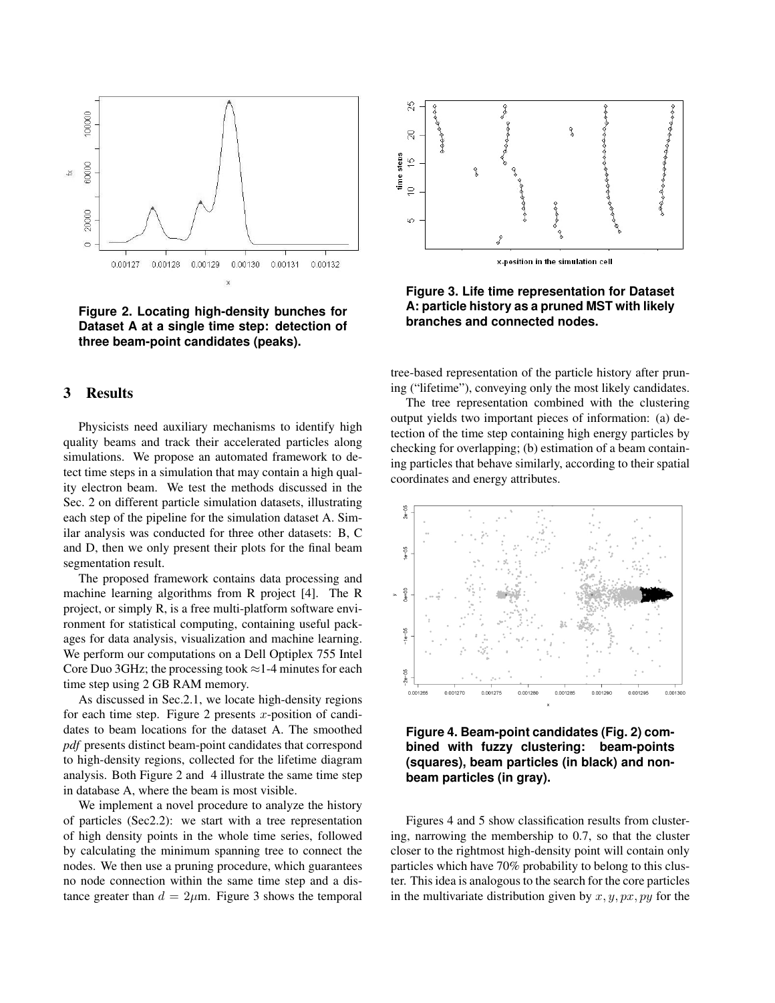

**Figure 2. Locating high-density bunches for Dataset A at a single time step: detection of three beam-point candidates (peaks).**

## 3 Results

Physicists need auxiliary mechanisms to identify high quality beams and track their accelerated particles along simulations. We propose an automated framework to detect time steps in a simulation that may contain a high quality electron beam. We test the methods discussed in the Sec. 2 on different particle simulation datasets, illustrating each step of the pipeline for the simulation dataset A. Similar analysis was conducted for three other datasets: B, C and D, then we only present their plots for the final beam segmentation result.

The proposed framework contains data processing and machine learning algorithms from R project [4]. The R project, or simply R, is a free multi-platform software environment for statistical computing, containing useful packages for data analysis, visualization and machine learning. We perform our computations on a Dell Optiplex 755 Intel Core Duo 3GHz; the processing took  $\approx$  1-4 minutes for each time step using 2 GB RAM memory.

As discussed in Sec.2.1, we locate high-density regions for each time step. Figure 2 presents  $x$ -position of candidates to beam locations for the dataset A. The smoothed *pdf* presents distinct beam-point candidates that correspond to high-density regions, collected for the lifetime diagram analysis. Both Figure 2 and 4 illustrate the same time step in database A, where the beam is most visible.

We implement a novel procedure to analyze the history of particles (Sec2.2): we start with a tree representation of high density points in the whole time series, followed by calculating the minimum spanning tree to connect the nodes. We then use a pruning procedure, which guarantees no node connection within the same time step and a distance greater than  $d = 2\mu$ m. Figure 3 shows the temporal



x-position in the simulation cell

**Figure 3. Life time representation for Dataset A: particle history as a pruned MST with likely branches and connected nodes.**

tree-based representation of the particle history after pruning ("lifetime"), conveying only the most likely candidates.

The tree representation combined with the clustering output yields two important pieces of information: (a) detection of the time step containing high energy particles by checking for overlapping; (b) estimation of a beam containing particles that behave similarly, according to their spatial coordinates and energy attributes.



**Figure 4. Beam-point candidates (Fig. 2) combined with fuzzy clustering: beam-points (squares), beam particles (in black) and nonbeam particles (in gray).**

Figures 4 and 5 show classification results from clustering, narrowing the membership to 0.7, so that the cluster closer to the rightmost high-density point will contain only particles which have 70% probability to belong to this cluster. This idea is analogous to the search for the core particles in the multivariate distribution given by  $x, y, px, py$  for the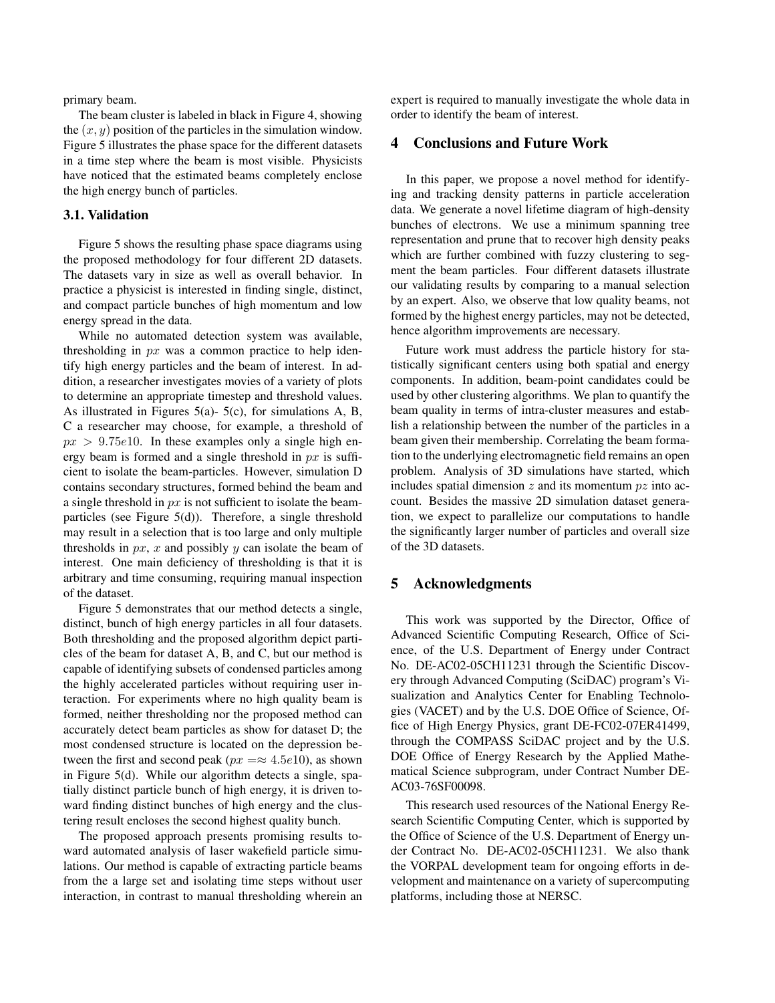primary beam.

The beam cluster is labeled in black in Figure 4, showing the  $(x, y)$  position of the particles in the simulation window. Figure 5 illustrates the phase space for the different datasets in a time step where the beam is most visible. Physicists have noticed that the estimated beams completely enclose the high energy bunch of particles.

### 3.1. Validation

Figure 5 shows the resulting phase space diagrams using the proposed methodology for four different 2D datasets. The datasets vary in size as well as overall behavior. In practice a physicist is interested in finding single, distinct, and compact particle bunches of high momentum and low energy spread in the data.

While no automated detection system was available, thresholding in  $px$  was a common practice to help identify high energy particles and the beam of interest. In addition, a researcher investigates movies of a variety of plots to determine an appropriate timestep and threshold values. As illustrated in Figures 5(a)- 5(c), for simulations A, B, C a researcher may choose, for example, a threshold of  $px > 9.75e10$ . In these examples only a single high energy beam is formed and a single threshold in  $px$  is sufficient to isolate the beam-particles. However, simulation D contains secondary structures, formed behind the beam and a single threshold in  $px$  is not sufficient to isolate the beamparticles (see Figure 5(d)). Therefore, a single threshold may result in a selection that is too large and only multiple thresholds in  $px$ , x and possibly y can isolate the beam of interest. One main deficiency of thresholding is that it is arbitrary and time consuming, requiring manual inspection of the dataset.

Figure 5 demonstrates that our method detects a single, distinct, bunch of high energy particles in all four datasets. Both thresholding and the proposed algorithm depict particles of the beam for dataset A, B, and C, but our method is capable of identifying subsets of condensed particles among the highly accelerated particles without requiring user interaction. For experiments where no high quality beam is formed, neither thresholding nor the proposed method can accurately detect beam particles as show for dataset D; the most condensed structure is located on the depression between the first and second peak ( $px = \approx 4.5e10$ ), as shown in Figure 5(d). While our algorithm detects a single, spatially distinct particle bunch of high energy, it is driven toward finding distinct bunches of high energy and the clustering result encloses the second highest quality bunch.

The proposed approach presents promising results toward automated analysis of laser wakefield particle simulations. Our method is capable of extracting particle beams from the a large set and isolating time steps without user interaction, in contrast to manual thresholding wherein an expert is required to manually investigate the whole data in order to identify the beam of interest.

## 4 Conclusions and Future Work

In this paper, we propose a novel method for identifying and tracking density patterns in particle acceleration data. We generate a novel lifetime diagram of high-density bunches of electrons. We use a minimum spanning tree representation and prune that to recover high density peaks which are further combined with fuzzy clustering to segment the beam particles. Four different datasets illustrate our validating results by comparing to a manual selection by an expert. Also, we observe that low quality beams, not formed by the highest energy particles, may not be detected, hence algorithm improvements are necessary.

Future work must address the particle history for statistically significant centers using both spatial and energy components. In addition, beam-point candidates could be used by other clustering algorithms. We plan to quantify the beam quality in terms of intra-cluster measures and establish a relationship between the number of the particles in a beam given their membership. Correlating the beam formation to the underlying electromagnetic field remains an open problem. Analysis of 3D simulations have started, which includes spatial dimension  $z$  and its momentum  $pz$  into account. Besides the massive 2D simulation dataset generation, we expect to parallelize our computations to handle the significantly larger number of particles and overall size of the 3D datasets.

## 5 Acknowledgments

This work was supported by the Director, Office of Advanced Scientific Computing Research, Office of Science, of the U.S. Department of Energy under Contract No. DE-AC02-05CH11231 through the Scientific Discovery through Advanced Computing (SciDAC) program's Visualization and Analytics Center for Enabling Technologies (VACET) and by the U.S. DOE Office of Science, Office of High Energy Physics, grant DE-FC02-07ER41499, through the COMPASS SciDAC project and by the U.S. DOE Office of Energy Research by the Applied Mathematical Science subprogram, under Contract Number DE-AC03-76SF00098.

This research used resources of the National Energy Research Scientific Computing Center, which is supported by the Office of Science of the U.S. Department of Energy under Contract No. DE-AC02-05CH11231. We also thank the VORPAL development team for ongoing efforts in development and maintenance on a variety of supercomputing platforms, including those at NERSC.